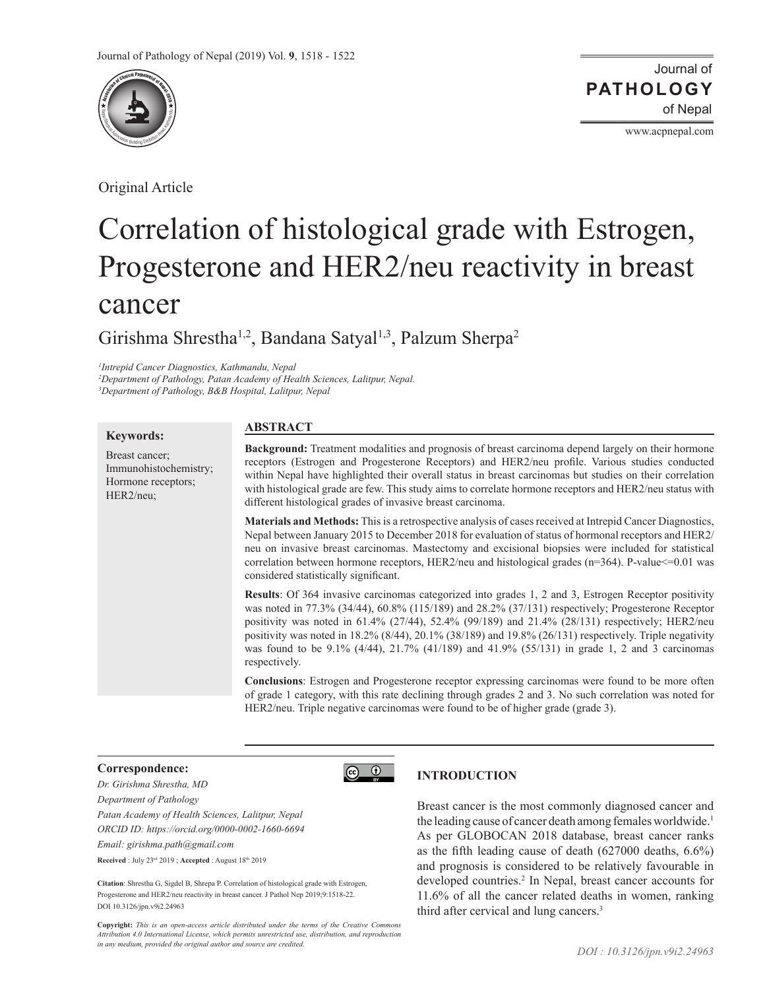

Original Article

Journal of of Nepal **PATHOLOGY**

www.acpnepal.com

# Correlation of histological grade with Estrogen, Progesterone and HER2/neu reactivity in breast cancer

Girishma Shrestha<sup>1,2</sup>, Bandana Satyal<sup>1,3</sup>, Palzum Sherpa<sup>2</sup>

*1 Intrepid Cancer Diagnostics, Kathmandu, Nepal 2 Department of Pathology, Patan Academy of Health Sciences, Lalitpur, Nepal.*

*3 Department of Pathology, B&B Hospital, Lalitpur, Nepal*

## **Keywords:**

Breast cancer; Immunohistochemistry; Hormone receptors; HER2/neu;

# **ABSTRACT**

**Background:** Treatment modalities and prognosis of breast carcinoma depend largely on their hormone receptors (Estrogen and Progesterone Receptors) and HER2/neu profile. Various studies conducted within Nepal have highlighted their overall status in breast carcinomas but studies on their correlation with histological grade are few. This study aims to correlate hormone receptors and HER2/neu status with different histological grades of invasive breast carcinoma.

**Materials and Methods:** This is a retrospective analysis of cases received at Intrepid Cancer Diagnostics, Nepal between January 2015 to December 2018 for evaluation of status of hormonal receptors and HER2/ neu on invasive breast carcinomas. Mastectomy and excisional biopsies were included for statistical correlation between hormone receptors, HER2/neu and histological grades (n=364). P-value  $\leq$ =0.01 was considered statistically significant.

**Results**: Of 364 invasive carcinomas categorized into grades 1, 2 and 3, Estrogen Receptor positivity was noted in 77.3% (34/44), 60.8% (115/189) and 28.2% (37/131) respectively; Progesterone Receptor positivity was noted in 61.4% (27/44), 52.4% (99/189) and 21.4% (28/131) respectively; HER2/neu positivity was noted in 18.2% (8/44), 20.1% (38/189) and 19.8% (26/131) respectively. Triple negativity was found to be 9.1% (4/44), 21.7% (41/189) and 41.9% (55/131) in grade 1, 2 and 3 carcinomas respectively.

**Conclusions**: Estrogen and Progesterone receptor expressing carcinomas were found to be more often of grade 1 category, with this rate declining through grades 2 and 3. No such correlation was noted for HER2/neu. Triple negative carcinomas were found to be of higher grade (grade 3).

## **Correspondence:**

*Dr. Girishma Shrestha, MD Department of Pathology Patan Academy of Health Sciences, Lalitpur, Nepal ORCID ID: https://orcid.org/0000-0002-1660-6694 Email: girishma.path@gmail.com* **Received** : July 23rd 2019 ; **Accepted** : August 18th 2019

**Citation**: Shrestha G, Sigdel B, Shrepa P. Correlation of histological grade with Estrogen, Progesterone and HER2/neu reactivity in breast cancer. J Pathol Nep 2019;9:1518-22. DOI 10.3126/jpn.v9i2.24963

**Copyright:** *This is an open-access article distributed under the terms of the Creative Commons Attribution 4.0 International License, which permits unrestricted use, distribution, and reproduction in any medium, provided the original author and source are credited.*

# **INTRODUCTION**

 $\circledcirc$ 

Breast cancer is the most commonly diagnosed cancer and the leading cause of cancer death among females worldwide.<sup>1</sup> As per GLOBOCAN 2018 database, breast cancer ranks as the fifth leading cause of death (627000 deaths, 6.6%) and prognosis is considered to be relatively favourable in developed countries.2 In Nepal, breast cancer accounts for 11.6% of all the cancer related deaths in women, ranking third after cervical and lung cancers.3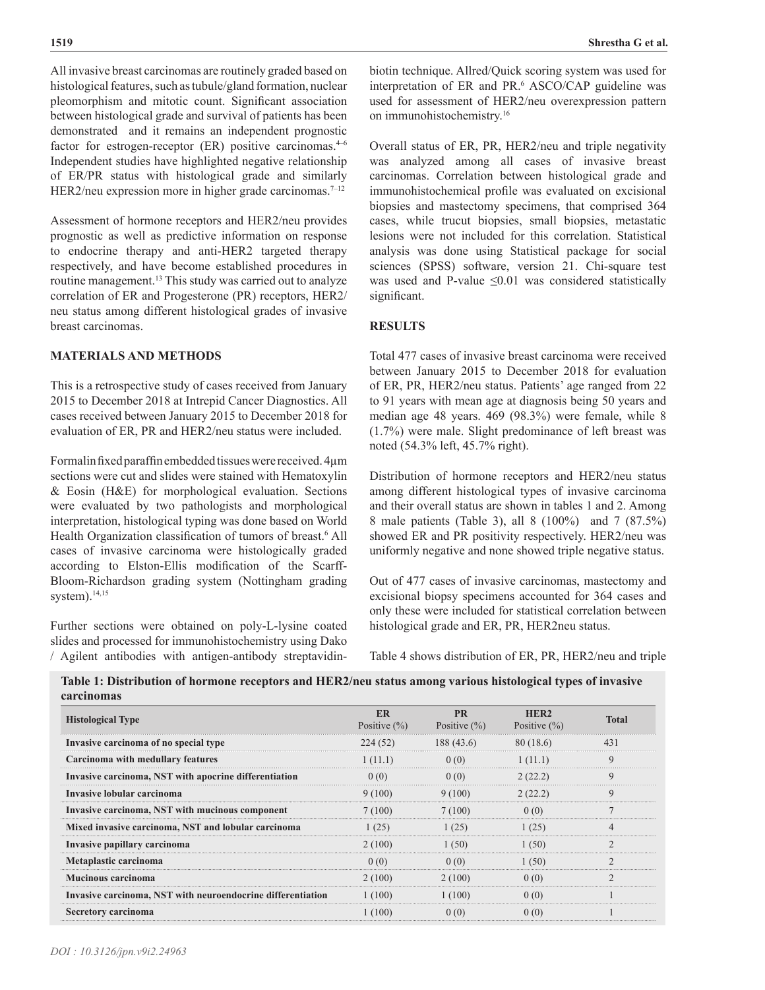All invasive breast carcinomas are routinely graded based on histological features, such as tubule/gland formation, nuclear pleomorphism and mitotic count. Significant association between histological grade and survival of patients has been demonstrated and it remains an independent prognostic factor for estrogen-receptor  $(ER)$  positive carcinomas.<sup>4-6</sup> Independent studies have highlighted negative relationship of ER/PR status with histological grade and similarly HER2/neu expression more in higher grade carcinomas.<sup>7-12</sup>

Assessment of hormone receptors and HER2/neu provides prognostic as well as predictive information on response to endocrine therapy and anti-HER2 targeted therapy respectively, and have become established procedures in routine management.<sup>13</sup> This study was carried out to analyze correlation of ER and Progesterone (PR) receptors, HER2/ neu status among different histological grades of invasive breast carcinomas.

## **MATERIALS AND METHODS**

This is a retrospective study of cases received from January 2015 to December 2018 at Intrepid Cancer Diagnostics. All cases received between January 2015 to December 2018 for evaluation of ER, PR and HER2/neu status were included.

Formalin fixed paraffin embedded tissues were received. 4µm sections were cut and slides were stained with Hematoxylin & Eosin (H&E) for morphological evaluation. Sections were evaluated by two pathologists and morphological interpretation, histological typing was done based on World Health Organization classification of tumors of breast.<sup>6</sup> All cases of invasive carcinoma were histologically graded according to Elston-Ellis modification of the Scarff-Bloom-Richardson grading system (Nottingham grading system). $14,15$ 

Further sections were obtained on poly-L-lysine coated slides and processed for immunohistochemistry using Dako / Agilent antibodies with antigen-antibody streptavidinbiotin technique. Allred/Quick scoring system was used for interpretation of ER and PR.<sup>6</sup> ASCO/CAP guideline was used for assessment of HER2/neu overexpression pattern on immunohistochemistry.16

Overall status of ER, PR, HER2/neu and triple negativity was analyzed among all cases of invasive breast carcinomas. Correlation between histological grade and immunohistochemical profile was evaluated on excisional biopsies and mastectomy specimens, that comprised 364 cases, while trucut biopsies, small biopsies, metastatic lesions were not included for this correlation. Statistical analysis was done using Statistical package for social sciences (SPSS) software, version 21. Chi-square test was used and P-value  $\leq 0.01$  was considered statistically significant.

## **RESULTS**

Total 477 cases of invasive breast carcinoma were received between January 2015 to December 2018 for evaluation of ER, PR, HER2/neu status. Patients' age ranged from 22 to 91 years with mean age at diagnosis being 50 years and median age 48 years. 469 (98.3%) were female, while 8 (1.7%) were male. Slight predominance of left breast was noted (54.3% left, 45.7% right).

Distribution of hormone receptors and HER2/neu status among different histological types of invasive carcinoma and their overall status are shown in tables 1 and 2. Among 8 male patients (Table 3), all 8 (100%) and 7 (87.5%) showed ER and PR positivity respectively. HER2/neu was uniformly negative and none showed triple negative status.

Out of 477 cases of invasive carcinomas, mastectomy and excisional biopsy specimens accounted for 364 cases and only these were included for statistical correlation between histological grade and ER, PR, HER2neu status.

Table 4 shows distribution of ER, PR, HER2/neu and triple

| carcinomas                                                  |                               |                               |                                      |       |
|-------------------------------------------------------------|-------------------------------|-------------------------------|--------------------------------------|-------|
| <b>Histological Type</b>                                    | <b>ER</b><br>Positive $(\% )$ | <b>PR</b><br>Positive $(\% )$ | HER <sub>2</sub><br>Positive $(\% )$ | Total |
| Invasive carcinoma of no special type                       | 224 (52)                      | 188(43.6)                     | 80 (18.6)                            | 431   |
| Carcinoma with medullary features                           | 1(11.1)                       | (0(0)                         | 1(11.1)                              |       |
| Invasive carcinoma, NST with apocrine differentiation       | 0(0)                          | 0(0)                          | 2(22.2)                              |       |
| Invasive lobular carcinoma                                  | 9 (100)                       | 9 (100)                       |                                      |       |
| Invasive carcinoma, NST with mucinous component             | 7 (100)                       | 7 (100)                       |                                      |       |
| Mixed invasive carcinoma, NST and lobular carcinoma         | 1 (25)                        | 1 (25)                        | (25)                                 |       |
| Invasive papillary carcinoma                                | 2 (100)                       | 1 (50)                        | l (50)                               |       |
| Metaplastic carcinoma                                       |                               |                               |                                      |       |
| <b>Mucinous carcinoma</b>                                   | 2 (100)                       | 2 (100)                       |                                      |       |
| Invasive carcinoma, NST with neuroendocrine differentiation | 1(100)                        | (100)                         |                                      |       |
| Secretory carcinoma                                         | 100)                          |                               | ( ) ( 0 )                            |       |

**Table 1: Distribution of hormone receptors and HER2/neu status among various histological types of invasive**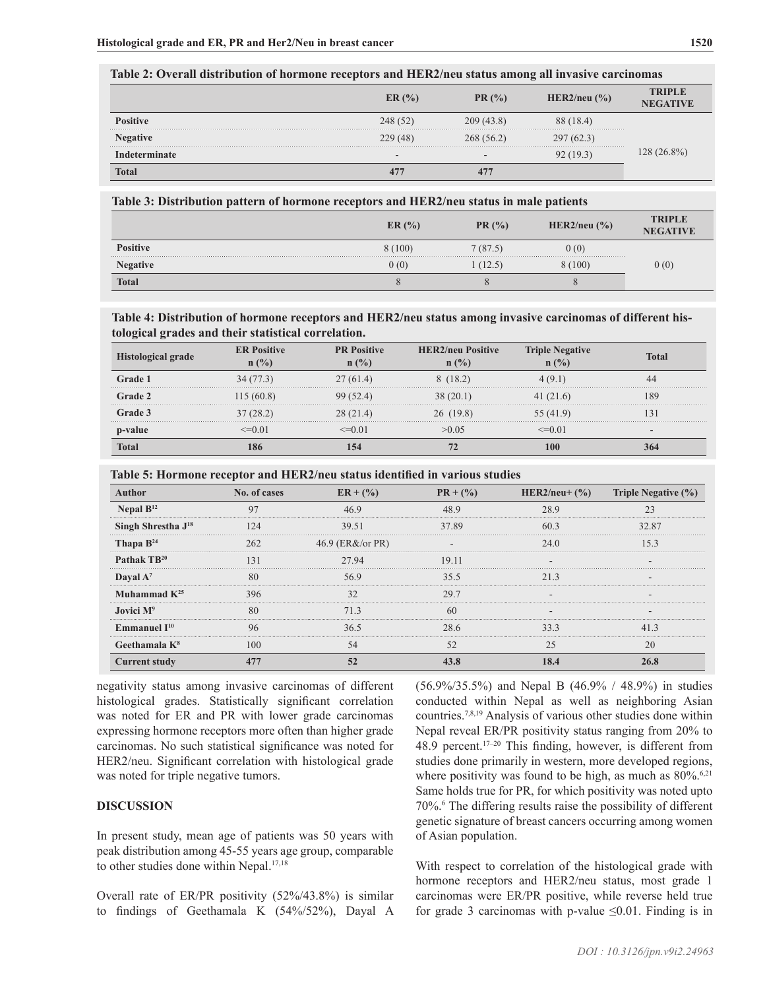# **Table 2: Overall distribution of hormone receptors and HER2/neu status among all invasive carcinomas**

|                      | ER(%)                    | PR(%)  | HER2/neu $(\% )$ | TRIPLE     |
|----------------------|--------------------------|--------|------------------|------------|
|                      | 248 (52)                 | (43.8) |                  |            |
| $\therefore$ egative | 229 (48)                 | (56.2) | 297(62.3)        |            |
|                      | $\overline{\phantom{a}}$ |        |                  | $(26.8\%)$ |
|                      |                          |        |                  |            |

#### **Table 3: Distribution pattern of hormone receptors and HER2/neu status in male patients**

|                 | ER(%)  | PR(%)   | HER2/neu $\left(\frac{9}{6}\right)$ | <b>TRIPLE</b><br><b>NEGATIVE</b> |
|-----------------|--------|---------|-------------------------------------|----------------------------------|
| <b>Positive</b> | 8(100) | 7(87.5) | 0(0)                                |                                  |
| <b>Negative</b> | 0(0)   | (12.5)  | 8 (100)                             | 0(0)                             |
| <b>Total</b>    |        |         |                                     |                                  |

## **Table 4: Distribution of hormone receptors and HER2/neu status among invasive carcinomas of different histological grades and their statistical correlation.**

| <b>Histological grade</b> | <b>ER Positive</b><br>$n$ (%) | <b>PR Positive</b><br>$($ %) | <b>HER2/neu Positive</b><br>$(y_0)$ | <b>Negative</b> | l`otal |
|---------------------------|-------------------------------|------------------------------|-------------------------------------|-----------------|--------|
|                           |                               | 27 (61.4)                    |                                     |                 |        |
| Grade 2                   |                               |                              |                                     | 41 (21.6)       |        |
|                           |                               |                              | 19.81                               | (41.9)          |        |
|                           |                               |                              |                                     |                 | -      |
| Fotal                     |                               |                              |                                     |                 |        |

**Table 5: Hormone receptor and HER2/neu status identified in various studies**

| Author                         | No. of cases  | $ER + (%)$           | HER2/neu+ $(\%)$<br>$PR + (\frac{9}{6})$ |      | <b>Triple Negative (%)</b> |  |
|--------------------------------|---------------|----------------------|------------------------------------------|------|----------------------------|--|
| Nepal $B^{12}$                 |               |                      |                                          |      |                            |  |
| Singh Shrestha J <sup>18</sup> | 124           | 39.51                | 37.89                                    | 603  | 32.87                      |  |
| Thapa $B^{24}$                 |               | 46.9 ( $ER&/or PR$ ) |                                          | 24 0 |                            |  |
| Pathak TB <sup>20</sup>        | $\mathcal{R}$ | 27.94                | 19 11                                    |      |                            |  |
| Dayal $A^7$                    |               |                      | 35.5                                     | 213  |                            |  |
| Muhammad $K^{25}$              |               |                      | າດ 1                                     |      |                            |  |
| Jovici M <sup>9</sup>          |               |                      |                                          |      |                            |  |
| Emmanuel $I^{10}$              |               |                      | 28.6                                     |      |                            |  |
| Geethamala $K8$                | 100           | 54                   |                                          |      | 20                         |  |
| <b>Current study</b>           |               |                      |                                          |      |                            |  |

negativity status among invasive carcinomas of different histological grades. Statistically significant correlation was noted for ER and PR with lower grade carcinomas expressing hormone receptors more often than higher grade carcinomas. No such statistical significance was noted for HER2/neu. Significant correlation with histological grade was noted for triple negative tumors.

## **DISCUSSION**

In present study, mean age of patients was 50 years with peak distribution among 45-55 years age group, comparable to other studies done within Nepal.<sup>17,18</sup>

Overall rate of ER/PR positivity (52%/43.8%) is similar to findings of Geethamala K (54%/52%), Dayal A (56.9%/35.5%) and Nepal B (46.9% / 48.9%) in studies conducted within Nepal as well as neighboring Asian countries.7,8,19 Analysis of various other studies done within Nepal reveal ER/PR positivity status ranging from 20% to 48.9 percent.17–20 This finding, however, is different from studies done primarily in western, more developed regions, where positivity was found to be high, as much as  $80\%$ .<sup>6,21</sup> Same holds true for PR, for which positivity was noted upto 70%.<sup>6</sup> The differing results raise the possibility of different genetic signature of breast cancers occurring among women of Asian population.

With respect to correlation of the histological grade with hormone receptors and HER2/neu status, most grade 1 carcinomas were ER/PR positive, while reverse held true for grade 3 carcinomas with p-value  $\leq 0.01$ . Finding is in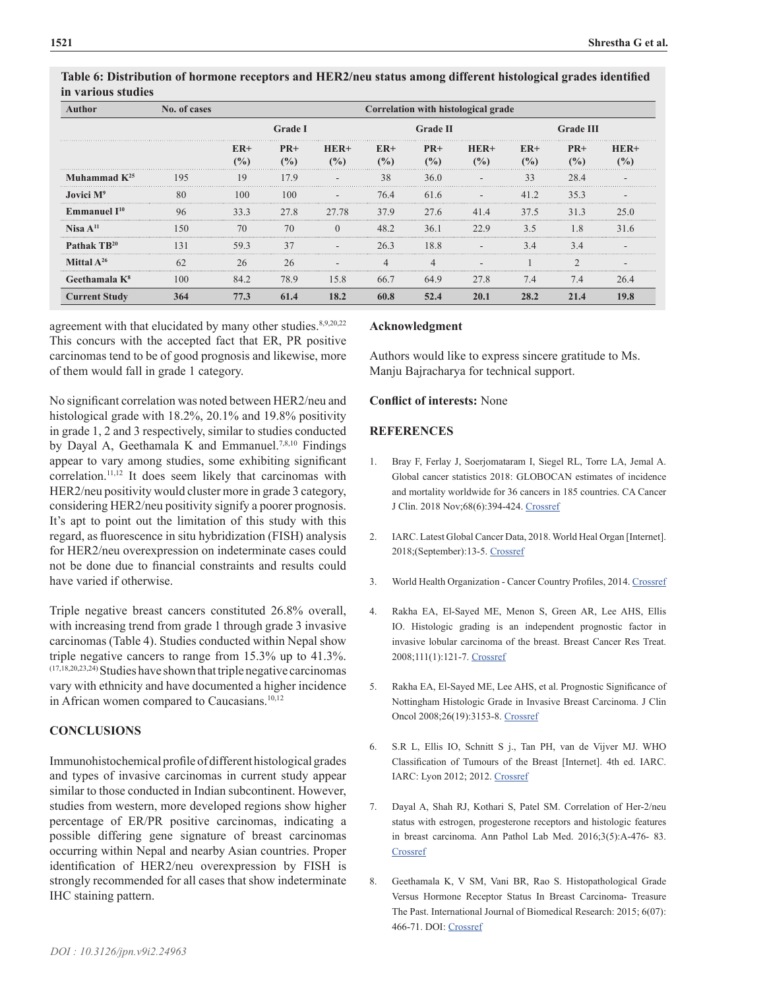| No. of cases<br>Author  |                        | Correlation with histological grade |                  |                 |                        |               |              |                        |                         |      |
|-------------------------|------------------------|-------------------------------------|------------------|-----------------|------------------------|---------------|--------------|------------------------|-------------------------|------|
|                         |                        | <b>Grade I</b>                      |                  |                 | <b>Grade II</b>        |               |              | <b>Grade III</b>       |                         |      |
|                         | $ER+$<br>$\frac{9}{6}$ | $PR+$<br>$($ %)                     | $HER+$<br>$($ %) | $ER+$<br>$($ %) | $PR+$<br>$\frac{9}{6}$ | $HER+$<br>(%) | $ER+$<br>(%) | $PR+$<br>$\frac{9}{6}$ | $HER+$<br>$\frac{9}{6}$ |      |
| Muhammad $K^{25}$       | 195                    | 19                                  | 179              |                 | 38                     | 36.0          |              | 33                     | 28.4                    |      |
| <b>Jovici</b> $M^9$     | 80                     | 100                                 | 100              |                 | 76.4                   | 61.6          |              | 41.2                   | 35.3                    |      |
| Emmanuel $I^{10}$       | 96                     | 33.3                                | 27.8             | 27.78           | 37.9                   | 27.6          | 41.4         | 37.5                   | 31.3                    | 25 O |
| Nisa $A^{11}$           | ۱۲۵                    | 70                                  | 70               |                 | 48.2                   | 36.1          | 22.9         | 3.5                    |                         | 31.6 |
| Pathak TR <sup>20</sup> | 131                    | 59.3                                | 37               |                 | 26.3                   | 18.8          |              | 3.4                    | 34                      |      |
| <b>Mittal</b> $A^{26}$  | 62                     | 26                                  | 26               |                 |                        |               |              |                        |                         |      |
| Geethamala $K^8$        | 100                    | 84.2                                | 78.9             | 15.8            | 66.7                   | 64.9          | 27.8         | 7.4                    | 7.4                     | 26.4 |
| <b>Current Study</b>    | 364                    | 77.3                                | 61.4             | 18.2            | 60.8                   | 52.4          | 20.1         | 28.2                   | 21.4                    | 19.8 |

**Table 6: Distribution of hormone receptors and HER2/neu status among different histological grades identified in various studies**

agreement with that elucidated by many other studies. $8,9,20,22$ This concurs with the accepted fact that ER, PR positive carcinomas tend to be of good prognosis and likewise, more of them would fall in grade 1 category.

No significant correlation was noted between HER2/neu and histological grade with 18.2%, 20.1% and 19.8% positivity in grade 1, 2 and 3 respectively, similar to studies conducted by Dayal A, Geethamala K and Emmanuel.<sup>7,8,10</sup> Findings appear to vary among studies, some exhibiting significant correlation.11,12 It does seem likely that carcinomas with HER2/neu positivity would cluster more in grade 3 category, considering HER2/neu positivity signify a poorer prognosis. It's apt to point out the limitation of this study with this regard, as fluorescence in situ hybridization (FISH) analysis for HER2/neu overexpression on indeterminate cases could not be done due to financial constraints and results could have varied if otherwise.

Triple negative breast cancers constituted 26.8% overall, with increasing trend from grade 1 through grade 3 invasive carcinomas (Table 4). Studies conducted within Nepal show triple negative cancers to range from 15.3% up to 41.3%. (17,18,20,23,24) Studies have shown that triple negative carcinomas vary with ethnicity and have documented a higher incidence in African women compared to Caucasians.<sup>10,12</sup>

# **CONCLUSIONS**

Immunohistochemical profile of different histological grades and types of invasive carcinomas in current study appear similar to those conducted in Indian subcontinent. However, studies from western, more developed regions show higher percentage of ER/PR positive carcinomas, indicating a possible differing gene signature of breast carcinomas occurring within Nepal and nearby Asian countries. Proper identification of HER2/neu overexpression by FISH is strongly recommended for all cases that show indeterminate IHC staining pattern.

## **Acknowledgment**

Authors would like to express sincere gratitude to Ms. Manju Bajracharya for technical support.

# **Conflict of interests:** None

## **REFERENCES**

- 1. Bray F, Ferlay J, Soerjomataram I, Siegel RL, Torre LA, Jemal A. Global cancer statistics 2018: GLOBOCAN estimates of incidence and mortality worldwide for 36 cancers in 185 countries. CA Cancer J Clin. 2018 Nov;68(6):394-424. [Crossref](https://doi.org/10.3322/caac.21492)
- 2. IARC. Latest Global Cancer Data, 2018. World Heal Organ [Internet]. 2018;(September):13-5. [Crossref](http://www.who.int/cancer/PRGlobocanFinal.pdf)
- 3. World Health Organization Cancer Country Profiles, 2014. [Crossref](https://www.who.int/cancer/country-profiles/npl_en.pdf?ua=1)
- 4. Rakha EA, El-Sayed ME, Menon S, Green AR, Lee AHS, Ellis IO. Histologic grading is an independent prognostic factor in invasive lobular carcinoma of the breast. Breast Cancer Res Treat. 2008;111(1):121-7. [Crossref](https://doi.org/10.1007/s10549-007-9768-4)
- 5. Rakha EA, El-Sayed ME, Lee AHS, et al. Prognostic Significance of Nottingham Histologic Grade in Invasive Breast Carcinoma. J Clin Oncol 2008;26(19):3153-8. [Crossref](https://doi.org/10.1200/JCO.2007.15.5986)
- 6. S.R L, Ellis IO, Schnitt S j., Tan PH, van de Vijver MJ. WHO Classification of Tumours of the Breast [Internet]. 4th ed. IARC. IARC: Lyon 2012; 2012. [Crossref](http://link.springer.com/10.1007/s00292-008-1064-5)
- 7. Dayal A, Shah RJ, Kothari S, Patel SM. Correlation of Her-2/neu status with estrogen, progesterone receptors and histologic features in breast carcinoma. Ann Pathol Lab Med. 2016;3(5):A-476- 83. **[Crossref](https://pdfs.semanticscholar.org/a83f/06d00cd9946ef3391319e7c86130ec9cebde.pdf)**
- 8. Geethamala K, V SM, Vani BR, Rao S. Histopathological Grade Versus Hormone Receptor Status In Breast Carcinoma- Treasure The Past. International Journal of Biomedical Research: 2015; 6(07): 466-71. DOI: [Crossref](http://dx.doi.org/10.7439/ijbr)